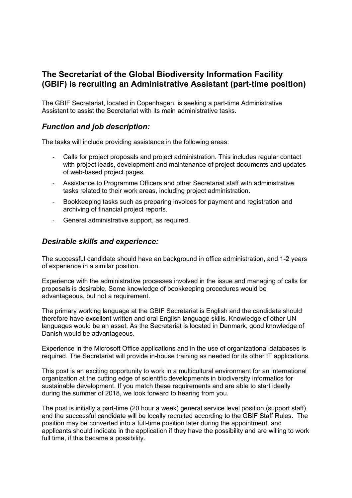# **The Secretariat of the Global Biodiversity Information Facility (GBIF) is recruiting an Administrative Assistant (part-time position)**

The GBIF Secretariat, located in Copenhagen, is seeking a part-time Administrative Assistant to assist the Secretariat with its main administrative tasks.

# *Function and job description:*

The tasks will include providing assistance in the following areas:

- Calls for project proposals and project administration. This includes regular contact with project leads, development and maintenance of project documents and updates of web-based project pages.
- Assistance to Programme Officers and other Secretariat staff with administrative tasks related to their work areas, including project administration.
- Bookkeeping tasks such as preparing invoices for payment and registration and archiving of financial project reports.
- General administrative support, as required.

#### *Desirable skills and experience:*

The successful candidate should have an background in office administration, and 1-2 years of experience in a similar position.

Experience with the administrative processes involved in the issue and managing of calls for proposals is desirable. Some knowledge of bookkeeping procedures would be advantageous, but not a requirement.

The primary working language at the GBIF Secretariat is English and the candidate should therefore have excellent written and oral English language skills. Knowledge of other UN languages would be an asset. As the Secretariat is located in Denmark, good knowledge of Danish would be advantageous.

Experience in the Microsoft Office applications and in the use of organizational databases is required. The Secretariat will provide in-house training as needed for its other IT applications.

This post is an exciting opportunity to work in a multicultural environment for an international organization at the cutting edge of scientific developments in biodiversity informatics for sustainable development. If you match these requirements and are able to start ideally during the summer of 2018, we look forward to hearing from you.

The post is initially a part-time (20 hour a week) general service level position (support staff), and the successful candidate will be locally recruited according to the GBIF Staff Rules. The position may be converted into a full-time position later during the appointment, and applicants should indicate in the application if they have the possibility and are willing to work full time, if this became a possibility.